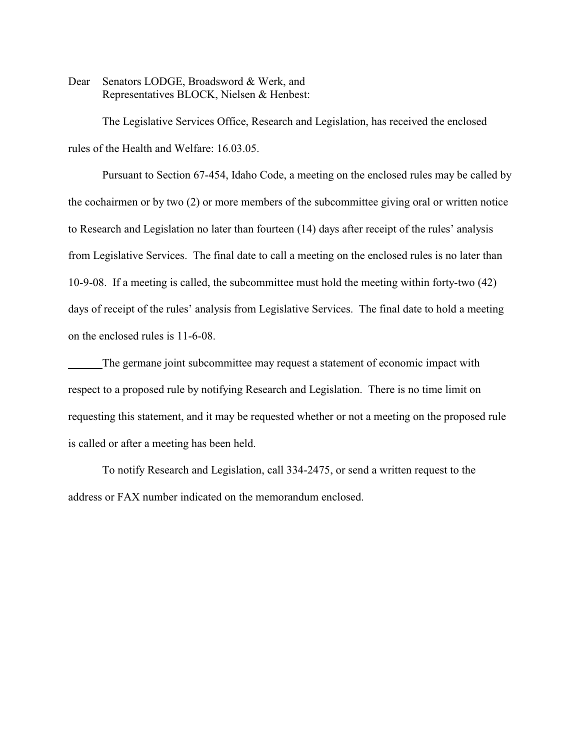Dear Senators LODGE, Broadsword & Werk, and Representatives BLOCK, Nielsen & Henbest:

The Legislative Services Office, Research and Legislation, has received the enclosed rules of the Health and Welfare: 16.03.05.

Pursuant to Section 67-454, Idaho Code, a meeting on the enclosed rules may be called by the cochairmen or by two (2) or more members of the subcommittee giving oral or written notice to Research and Legislation no later than fourteen (14) days after receipt of the rules' analysis from Legislative Services. The final date to call a meeting on the enclosed rules is no later than 10-9-08. If a meeting is called, the subcommittee must hold the meeting within forty-two (42) days of receipt of the rules' analysis from Legislative Services. The final date to hold a meeting on the enclosed rules is 11-6-08.

The germane joint subcommittee may request a statement of economic impact with respect to a proposed rule by notifying Research and Legislation. There is no time limit on requesting this statement, and it may be requested whether or not a meeting on the proposed rule is called or after a meeting has been held.

To notify Research and Legislation, call 334-2475, or send a written request to the address or FAX number indicated on the memorandum enclosed.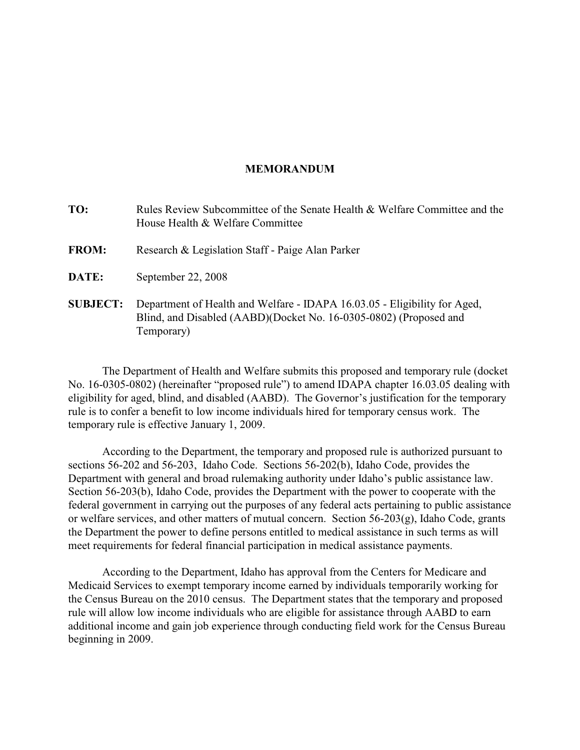### **MEMORANDUM**

| TO:             | Rules Review Subcommittee of the Senate Health & Welfare Committee and the<br>House Health & Welfare Committee                                               |
|-----------------|--------------------------------------------------------------------------------------------------------------------------------------------------------------|
| <b>FROM:</b>    | Research & Legislation Staff - Paige Alan Parker                                                                                                             |
| DATE:           | September 22, 2008                                                                                                                                           |
| <b>SUBJECT:</b> | Department of Health and Welfare - IDAPA 16.03.05 - Eligibility for Aged,<br>Blind, and Disabled (AABD)(Docket No. 16-0305-0802) (Proposed and<br>Temporary) |

The Department of Health and Welfare submits this proposed and temporary rule (docket No. 16-0305-0802) (hereinafter "proposed rule") to amend IDAPA chapter 16.03.05 dealing with eligibility for aged, blind, and disabled (AABD). The Governor's justification for the temporary rule is to confer a benefit to low income individuals hired for temporary census work. The temporary rule is effective January 1, 2009.

According to the Department, the temporary and proposed rule is authorized pursuant to sections 56-202 and 56-203, Idaho Code. Sections 56-202(b), Idaho Code, provides the Department with general and broad rulemaking authority under Idaho's public assistance law. Section 56-203(b), Idaho Code, provides the Department with the power to cooperate with the federal government in carrying out the purposes of any federal acts pertaining to public assistance or welfare services, and other matters of mutual concern. Section 56-203(g), Idaho Code, grants the Department the power to define persons entitled to medical assistance in such terms as will meet requirements for federal financial participation in medical assistance payments.

According to the Department, Idaho has approval from the Centers for Medicare and Medicaid Services to exempt temporary income earned by individuals temporarily working for the Census Bureau on the 2010 census. The Department states that the temporary and proposed rule will allow low income individuals who are eligible for assistance through AABD to earn additional income and gain job experience through conducting field work for the Census Bureau beginning in 2009.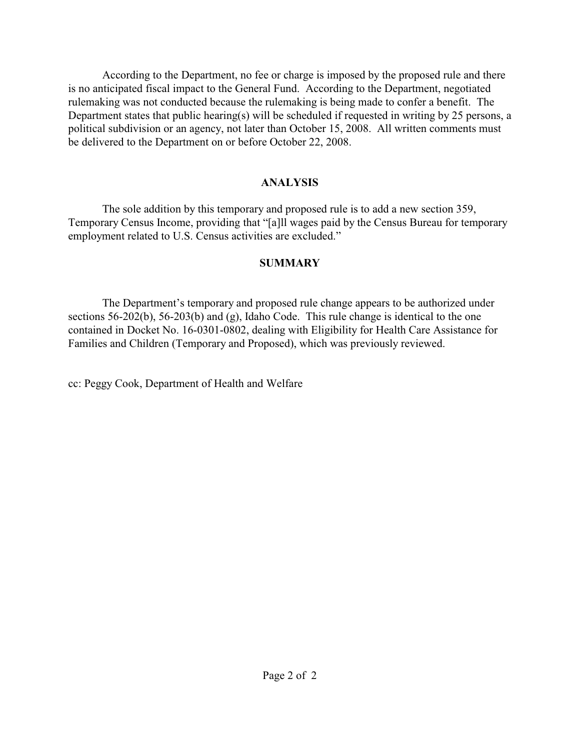According to the Department, no fee or charge is imposed by the proposed rule and there is no anticipated fiscal impact to the General Fund. According to the Department, negotiated rulemaking was not conducted because the rulemaking is being made to confer a benefit. The Department states that public hearing(s) will be scheduled if requested in writing by 25 persons, a political subdivision or an agency, not later than October 15, 2008. All written comments must be delivered to the Department on or before October 22, 2008.

## **ANALYSIS**

The sole addition by this temporary and proposed rule is to add a new section 359, Temporary Census Income, providing that "[a]ll wages paid by the Census Bureau for temporary employment related to U.S. Census activities are excluded."

## **SUMMARY**

The Department's temporary and proposed rule change appears to be authorized under sections 56-202(b), 56-203(b) and (g), Idaho Code. This rule change is identical to the one contained in Docket No. 16-0301-0802, dealing with Eligibility for Health Care Assistance for Families and Children (Temporary and Proposed), which was previously reviewed.

cc: Peggy Cook, Department of Health and Welfare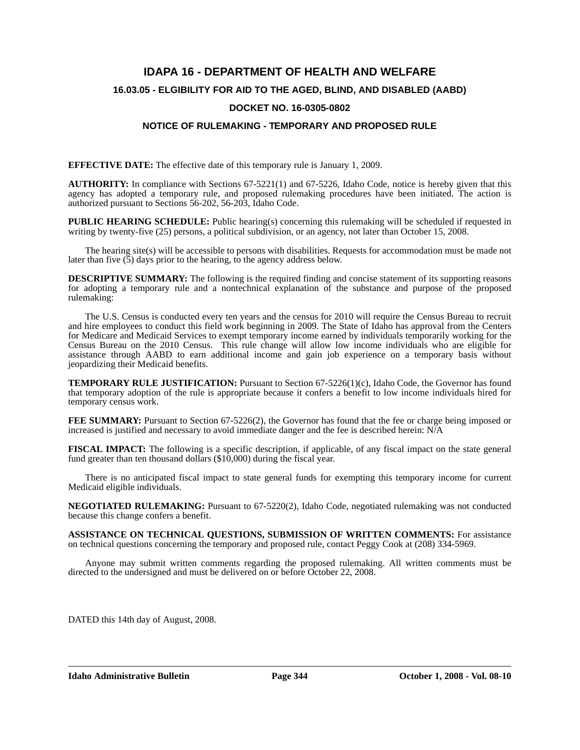# **IDAPA 16 - DEPARTMENT OF HEALTH AND WELFARE 16.03.05 - ELGIBILITY FOR AID TO THE AGED, BLIND, AND DISABLED (AABD)**

### **DOCKET NO. 16-0305-0802**

### **NOTICE OF RULEMAKING - TEMPORARY AND PROPOSED RULE**

**EFFECTIVE DATE:** The effective date of this temporary rule is January 1, 2009.

**AUTHORITY:** In compliance with Sections 67-5221(1) and 67-5226, Idaho Code, notice is hereby given that this agency has adopted a temporary rule, and proposed rulemaking procedures have been initiated. The action is authorized pursuant to Sections 56-202, 56-203, Idaho Code.

**PUBLIC HEARING SCHEDULE:** Public hearing(s) concerning this rulemaking will be scheduled if requested in writing by twenty-five (25) persons, a political subdivision, or an agency, not later than October 15, 2008.

The hearing site(s) will be accessible to persons with disabilities. Requests for accommodation must be made not later than five  $(5)$  days prior to the hearing, to the agency address below.

**DESCRIPTIVE SUMMARY:** The following is the required finding and concise statement of its supporting reasons for adopting a temporary rule and a nontechnical explanation of the substance and purpose of the proposed rulemaking:

The U.S. Census is conducted every ten years and the census for 2010 will require the Census Bureau to recruit and hire employees to conduct this field work beginning in 2009. The State of Idaho has approval from the Centers for Medicare and Medicaid Services to exempt temporary income earned by individuals temporarily working for the Census Bureau on the 2010 Census. This rule change will allow low income individuals who are eligible for assistance through AABD to earn additional income and gain job experience on a temporary basis without jeopardizing their Medicaid benefits.

**TEMPORARY RULE JUSTIFICATION:** Pursuant to Section 67-5226(1)(c), Idaho Code, the Governor has found that temporary adoption of the rule is appropriate because it confers a benefit to low income individuals hired for temporary census work.

**FEE SUMMARY:** Pursuant to Section 67-5226(2), the Governor has found that the fee or charge being imposed or increased is justified and necessary to avoid immediate danger and the fee is described herein: N/A

**FISCAL IMPACT:** The following is a specific description, if applicable, of any fiscal impact on the state general fund greater than ten thousand dollars (\$10,000) during the fiscal year.

There is no anticipated fiscal impact to state general funds for exempting this temporary income for current Medicaid eligible individuals.

**NEGOTIATED RULEMAKING:** Pursuant to 67-5220(2), Idaho Code, negotiated rulemaking was not conducted because this change confers a benefit.

**ASSISTANCE ON TECHNICAL QUESTIONS, SUBMISSION OF WRITTEN COMMENTS:** For assistance on technical questions concerning the temporary and proposed rule, contact Peggy Cook at (208) 334-5969.

Anyone may submit written comments regarding the proposed rulemaking. All written comments must be directed to the undersigned and must be delivered on or before October 22, 2008.

DATED this 14th day of August, 2008.